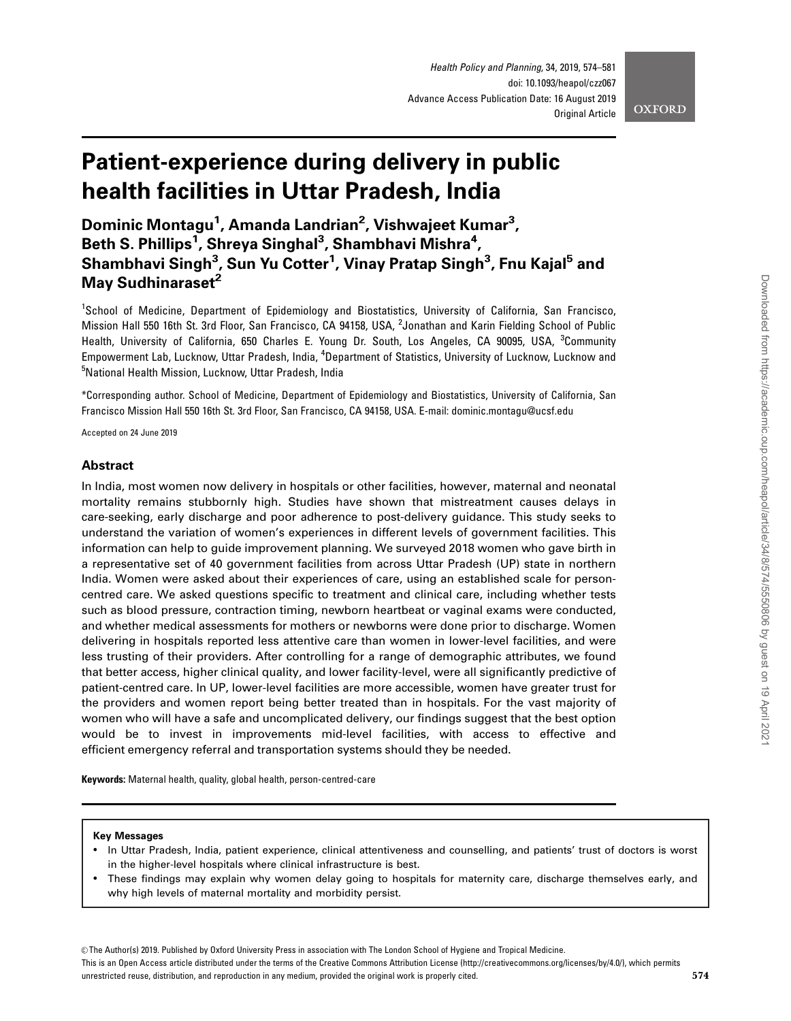# Patient-experience during delivery in public health facilities in Uttar Pradesh, India

Dominic Montagu<sup>1</sup>, Amanda Landrian<sup>2</sup>, Vishwajeet Kumar<sup>3</sup>, Beth S. Phillips<sup>1</sup>, Shreya Singhal<sup>3</sup>, Shambhavi Mishra<sup>4</sup>, Shambhavi Singh<sup>3</sup>, Sun Yu Cotter<sup>1</sup>, Vinay Pratap Singh<sup>3</sup>, Fnu Kajal<sup>5</sup> and May Sudhinaraset<sup>2</sup>

<sup>1</sup>School of Medicine, Department of Epidemiology and Biostatistics, University of California, San Francisco, Mission Hall 550 16th St. 3rd Floor, San Francisco, CA 94158, USA, <sup>2</sup>Jonathan and Karin Fielding School of Public Health, University of California, 650 Charles E. Young Dr. South, Los Angeles, CA 90095, USA, <sup>3</sup>Community Empowerment Lab, Lucknow, Uttar Pradesh, India, <sup>4</sup>Department of Statistics, University of Lucknow, Lucknow and <sup>5</sup>National Health Mission, Lucknow, Uttar Pradesh, India

\*Corresponding author. School of Medicine, Department of Epidemiology and Biostatistics, University of California, San Francisco Mission Hall 550 16th St. 3rd Floor, San Francisco, CA 94158, USA. E-mail: dominic.montagu@ucsf.edu

Accepted on 24 June 2019

# Abstract

In India, most women now delivery in hospitals or other facilities, however, maternal and neonatal mortality remains stubbornly high. Studies have shown that mistreatment causes delays in care-seeking, early discharge and poor adherence to post-delivery guidance. This study seeks to understand the variation of women's experiences in different levels of government facilities. This information can help to guide improvement planning. We surveyed 2018 women who gave birth in a representative set of 40 government facilities from across Uttar Pradesh (UP) state in northern India. Women were asked about their experiences of care, using an established scale for personcentred care. We asked questions specific to treatment and clinical care, including whether tests such as blood pressure, contraction timing, newborn heartbeat or vaginal exams were conducted, and whether medical assessments for mothers or newborns were done prior to discharge. Women delivering in hospitals reported less attentive care than women in lower-level facilities, and were less trusting of their providers. After controlling for a range of demographic attributes, we found that better access, higher clinical quality, and lower facility-level, were all significantly predictive of patient-centred care. In UP, lower-level facilities are more accessible, women have greater trust for the providers and women report being better treated than in hospitals. For the vast majority of women who will have a safe and uncomplicated delivery, our findings suggest that the best option would be to invest in improvements mid-level facilities, with access to effective and efficient emergency referral and transportation systems should they be needed.

Keywords: Maternal health, quality, global health, person-centred-care

## Key Messages

- In Uttar Pradesh, India, patient experience, clinical attentiveness and counselling, and patients' trust of doctors is worst in the higher-level hospitals where clinical infrastructure is best.
- These findings may explain why women delay going to hospitals for maternity care, discharge themselves early, and why high levels of maternal mortality and morbidity persist.

© The Author(s) 2019. Published by Oxford University Press in association with The London School of Hygiene and Tropical Medicine.

This is an Open Access article distributed under the terms of the Creative Commons Attribution License (http://creativecommons.org/licenses/by/4.0/), which permits unrestricted reuse, distribution, and reproduction in any medium, provided the original work is properly cited.  $574$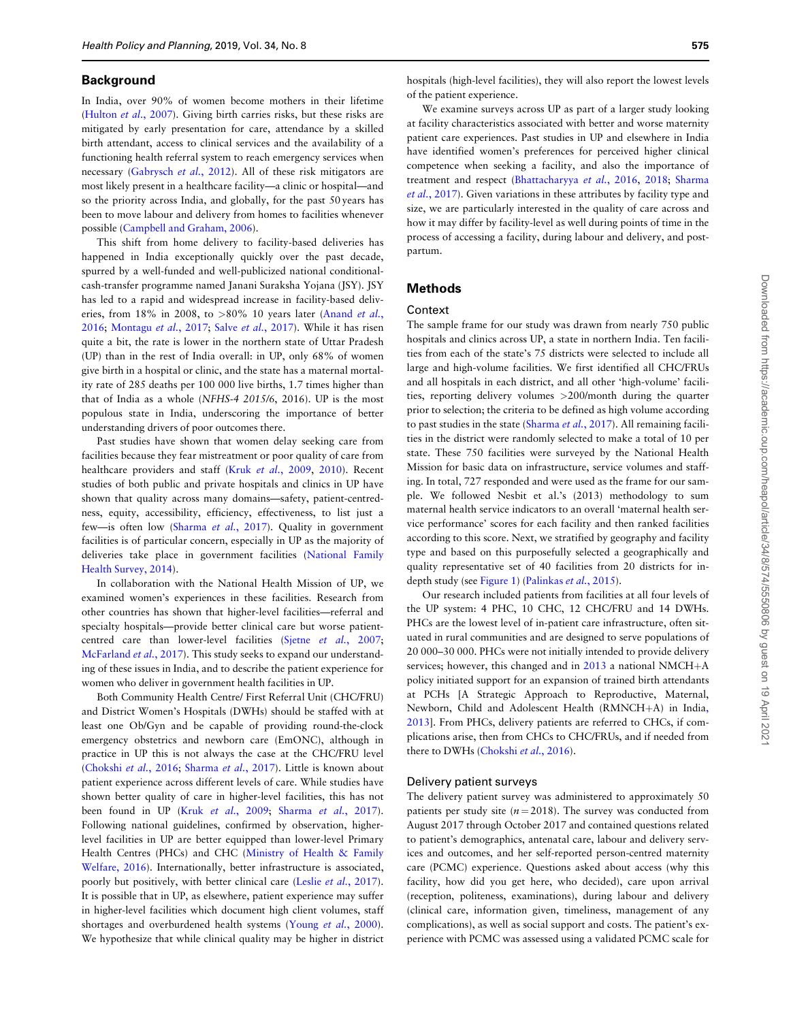## **Background**

In India, over 90% of women become mothers in their lifetime ([Hulton](#page-6-0) et al., 2007). Giving birth carries risks, but these risks are mitigated by early presentation for care, attendance by a skilled birth attendant, access to clinical services and the availability of a functioning health referral system to reach emergency services when necessary [\(Gabrysch](#page-6-0) et al., 2012). All of these risk mitigators are most likely present in a healthcare facility—a clinic or hospital—and so the priority across India, and globally, for the past 50 years has been to move labour and delivery from homes to facilities whenever possible [\(Campbell and Graham, 2006](#page-6-0)).

This shift from home delivery to facility-based deliveries has happened in India exceptionally quickly over the past decade, spurred by a well-funded and well-publicized national conditionalcash-transfer programme named Janani Suraksha Yojana (JSY). JSY has led to a rapid and widespread increase in facility-based deliv-eries, from 18% in 2008, to >80% 10 years later [\(Anand](#page-6-0) et al., [2016;](#page-6-0) [Montagu](#page-7-0) et al., 2017; Salve et al.[, 2017](#page-7-0)). While it has risen quite a bit, the rate is lower in the northern state of Uttar Pradesh (UP) than in the rest of India overall: in UP, only 68% of women give birth in a hospital or clinic, and the state has a maternal mortality rate of 285 deaths per 100 000 live births, 1.7 times higher than that of India as a whole (NFHS-4 2015/6, 2016). UP is the most populous state in India, underscoring the importance of better understanding drivers of poor outcomes there.

Past studies have shown that women delay seeking care from facilities because they fear mistreatment or poor quality of care from healthcare providers and staff (Kruk et al.[, 2009](#page-6-0), [2010\)](#page-6-0). Recent studies of both public and private hospitals and clinics in UP have shown that quality across many domains—safety, patient-centredness, equity, accessibility, efficiency, effectiveness, to list just a few-is often low [\(Sharma](#page-7-0) et al., 2017). Quality in government facilities is of particular concern, especially in UP as the majority of deliveries take place in government facilities ([National Family](#page-7-0) [Health Survey, 2014\)](#page-7-0).

In collaboration with the National Health Mission of UP, we examined women's experiences in these facilities. Research from other countries has shown that higher-level facilities—referral and specialty hospitals—provide better clinical care but worse patientcentred care than lower-level facilities (Sjetne et al.[, 2007;](#page-7-0) [McFarland](#page-7-0) et al., 2017). This study seeks to expand our understanding of these issues in India, and to describe the patient experience for women who deliver in government health facilities in UP.

Both Community Health Centre/ First Referral Unit (CHC/FRU) and District Women's Hospitals (DWHs) should be staffed with at least one Ob/Gyn and be capable of providing round-the-clock emergency obstetrics and newborn care (EmONC), although in practice in UP this is not always the case at the CHC/FRU level ([Chokshi](#page-6-0) et al., 2016; [Sharma](#page-7-0) et al., 2017). Little is known about patient experience across different levels of care. While studies have shown better quality of care in higher-level facilities, this has not been found in UP (Kruk et al.[, 2009](#page-6-0); [Sharma](#page-7-0) et al., 2017). Following national guidelines, confirmed by observation, higherlevel facilities in UP are better equipped than lower-level Primary Health Centres (PHCs) and CHC ([Ministry of Health](#page-7-0) & [Family](#page-7-0) [Welfare, 2016](#page-7-0)). Internationally, better infrastructure is associated, poorly but positively, with better clinical care (Leslie et al.[, 2017](#page-7-0)). It is possible that in UP, as elsewhere, patient experience may suffer in higher-level facilities which document high client volumes, staff shortages and overburdened health systems (Young *et al.*[, 2000](#page-7-0)). We hypothesize that while clinical quality may be higher in district

hospitals (high-level facilities), they will also report the lowest levels of the patient experience.

We examine surveys across UP as part of a larger study looking at facility characteristics associated with better and worse maternity patient care experiences. Past studies in UP and elsewhere in India have identified women's preferences for perceived higher clinical competence when seeking a facility, and also the importance of treatment and respect ([Bhattacharyya](#page-6-0) et al., 2016, [2018](#page-6-0); [Sharma](#page-7-0) et al.[, 2017](#page-7-0)). Given variations in these attributes by facility type and size, we are particularly interested in the quality of care across and how it may differ by facility-level as well during points of time in the process of accessing a facility, during labour and delivery, and postpartum.

# Methods

## Context

The sample frame for our study was drawn from nearly 750 public hospitals and clinics across UP, a state in northern India. Ten facilities from each of the state's 75 districts were selected to include all large and high-volume facilities. We first identified all CHC/FRUs and all hospitals in each district, and all other 'high-volume' facilities, reporting delivery volumes >200/month during the quarter prior to selection; the criteria to be defined as high volume according to past studies in the state [\(Sharma](#page-7-0) et al., 2017). All remaining facilities in the district were randomly selected to make a total of 10 per state. These 750 facilities were surveyed by the National Health Mission for basic data on infrastructure, service volumes and staffing. In total, 727 responded and were used as the frame for our sample. We followed Nesbit et al.'s (2013) methodology to sum maternal health service indicators to an overall 'maternal health service performance' scores for each facility and then ranked facilities according to this score. Next, we stratified by geography and facility type and based on this purposefully selected a geographically and quality representative set of 40 facilities from 20 districts for indepth study (see [Figure 1](#page-2-0)) [\(Palinkas](#page-7-0) et al., 2015).

Our research included patients from facilities at all four levels of the UP system: 4 PHC, 10 CHC, 12 CHC/FRU and 14 DWHs. PHCs are the lowest level of in-patient care infrastructure, often situated in rural communities and are designed to serve populations of 20 000–30 000. PHCs were not initially intended to provide delivery services; however, this changed and in  $2013$  a national NMCH+A policy initiated support for an expansion of trained birth attendants at PCHs [A Strategic Approach to Reproductive, Maternal, Newborn[,](#page-6-0) Child and Adolescent Health (RMNCH+A) in India, [2013\]](#page-6-0). From PHCs, delivery patients are referred to CHCs, if complications arise, then from CHCs to CHC/FRUs, and if needed from there to DWHs [\(Chokshi](#page-6-0) et al., 2016).

## Delivery patient surveys

The delivery patient survey was administered to approximately 50 patients per study site ( $n = 2018$ ). The survey was conducted from August 2017 through October 2017 and contained questions related to patient's demographics, antenatal care, labour and delivery services and outcomes, and her self-reported person-centred maternity care (PCMC) experience. Questions asked about access (why this facility, how did you get here, who decided), care upon arrival (reception, politeness, examinations), during labour and delivery (clinical care, information given, timeliness, management of any complications), as well as social support and costs. The patient's experience with PCMC was assessed using a validated PCMC scale for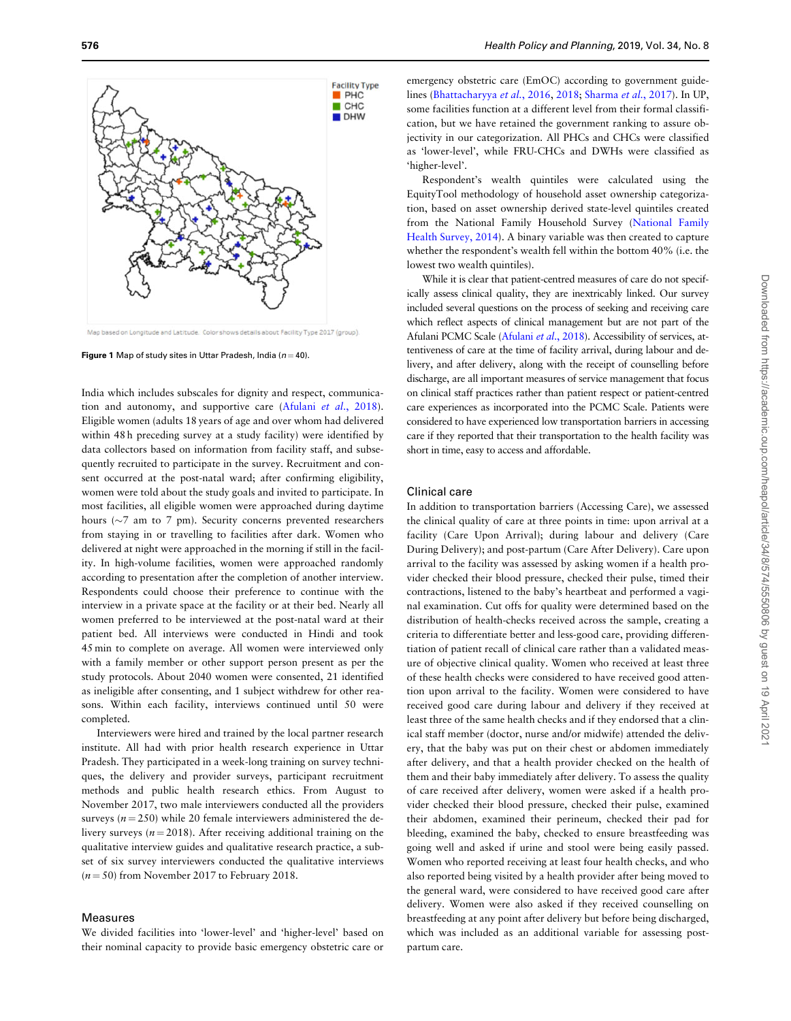<span id="page-2-0"></span>

Map based on Longitude and Latitude. Color shows details about Facility Type 2017 (group)

**Figure 1** Map of study sites in Uttar Pradesh, India ( $n = 40$ ).

India which includes subscales for dignity and respect, communica-tion and autonomy, and supportive care (Afulani et al[., 2018](#page-6-0)). Eligible women (adults 18 years of age and over whom had delivered within 48 h preceding survey at a study facility) were identified by data collectors based on information from facility staff, and subsequently recruited to participate in the survey. Recruitment and consent occurred at the post-natal ward; after confirming eligibility, women were told about the study goals and invited to participate. In most facilities, all eligible women were approached during daytime hours ( $\sim$ 7 am to 7 pm). Security concerns prevented researchers from staying in or travelling to facilities after dark. Women who delivered at night were approached in the morning if still in the facility. In high-volume facilities, women were approached randomly according to presentation after the completion of another interview. Respondents could choose their preference to continue with the interview in a private space at the facility or at their bed. Nearly all women preferred to be interviewed at the post-natal ward at their patient bed. All interviews were conducted in Hindi and took 45 min to complete on average. All women were interviewed only with a family member or other support person present as per the study protocols. About 2040 women were consented, 21 identified as ineligible after consenting, and 1 subject withdrew for other reasons. Within each facility, interviews continued until 50 were completed.

Interviewers were hired and trained by the local partner research institute. All had with prior health research experience in Uttar Pradesh. They participated in a week-long training on survey techniques, the delivery and provider surveys, participant recruitment methods and public health research ethics. From August to November 2017, two male interviewers conducted all the providers surveys ( $n = 250$ ) while 20 female interviewers administered the delivery surveys ( $n = 2018$ ). After receiving additional training on the qualitative interview guides and qualitative research practice, a subset of six survey interviewers conducted the qualitative interviews  $(n = 50)$  from November 2017 to February 2018.

## Measures

We divided facilities into 'lower-level' and 'higher-level' based on their nominal capacity to provide basic emergency obstetric care or

emergency obstetric care (EmOC) according to government guidelines ([Bhattacharyya](#page-6-0) et al., 2016, [2018](#page-6-0); [Sharma](#page-7-0) et al., 2017). In UP, some facilities function at a different level from their formal classification, but we have retained the government ranking to assure objectivity in our categorization. All PHCs and CHCs were classified as 'lower-level', while FRU-CHCs and DWHs were classified as 'higher-level'.

Respondent's wealth quintiles were calculated using the EquityTool methodology of household asset ownership categorization, based on asset ownership derived state-level quintiles created from the National Family Household Survey [\(National Family](#page-7-0) [Health Survey, 2014\)](#page-7-0). A binary variable was then created to capture whether the respondent's wealth fell within the bottom 40% (i.e. the lowest two wealth quintiles).

While it is clear that patient-centred measures of care do not specifically assess clinical quality, they are inextricably linked. Our survey included several questions on the process of seeking and receiving care which reflect aspects of clinical management but are not part of the [Afulani](#page-6-0) PCMC Scale (Afulani et al., 2018). Accessibility of services, attentiveness of care at the time of facility arrival, during labour and delivery, and after delivery, along with the receipt of counselling before discharge, are all important measures of service management that focus on clinical staff practices rather than patient respect or patient-centred care experiences as incorporated into the PCMC Scale. Patients were considered to have experienced low transportation barriers in accessing care if they reported that their transportation to the health facility was short in time, easy to access and affordable.

# Clinical care

In addition to transportation barriers (Accessing Care), we assessed the clinical quality of care at three points in time: upon arrival at a facility (Care Upon Arrival); during labour and delivery (Care During Delivery); and post-partum (Care After Delivery). Care upon arrival to the facility was assessed by asking women if a health provider checked their blood pressure, checked their pulse, timed their contractions, listened to the baby's heartbeat and performed a vaginal examination. Cut offs for quality were determined based on the distribution of health-checks received across the sample, creating a criteria to differentiate better and less-good care, providing differentiation of patient recall of clinical care rather than a validated measure of objective clinical quality. Women who received at least three of these health checks were considered to have received good attention upon arrival to the facility. Women were considered to have received good care during labour and delivery if they received at least three of the same health checks and if they endorsed that a clinical staff member (doctor, nurse and/or midwife) attended the delivery, that the baby was put on their chest or abdomen immediately after delivery, and that a health provider checked on the health of them and their baby immediately after delivery. To assess the quality of care received after delivery, women were asked if a health provider checked their blood pressure, checked their pulse, examined their abdomen, examined their perineum, checked their pad for bleeding, examined the baby, checked to ensure breastfeeding was going well and asked if urine and stool were being easily passed. Women who reported receiving at least four health checks, and who also reported being visited by a health provider after being moved to the general ward, were considered to have received good care after delivery. Women were also asked if they received counselling on breastfeeding at any point after delivery but before being discharged, which was included as an additional variable for assessing postpartum care.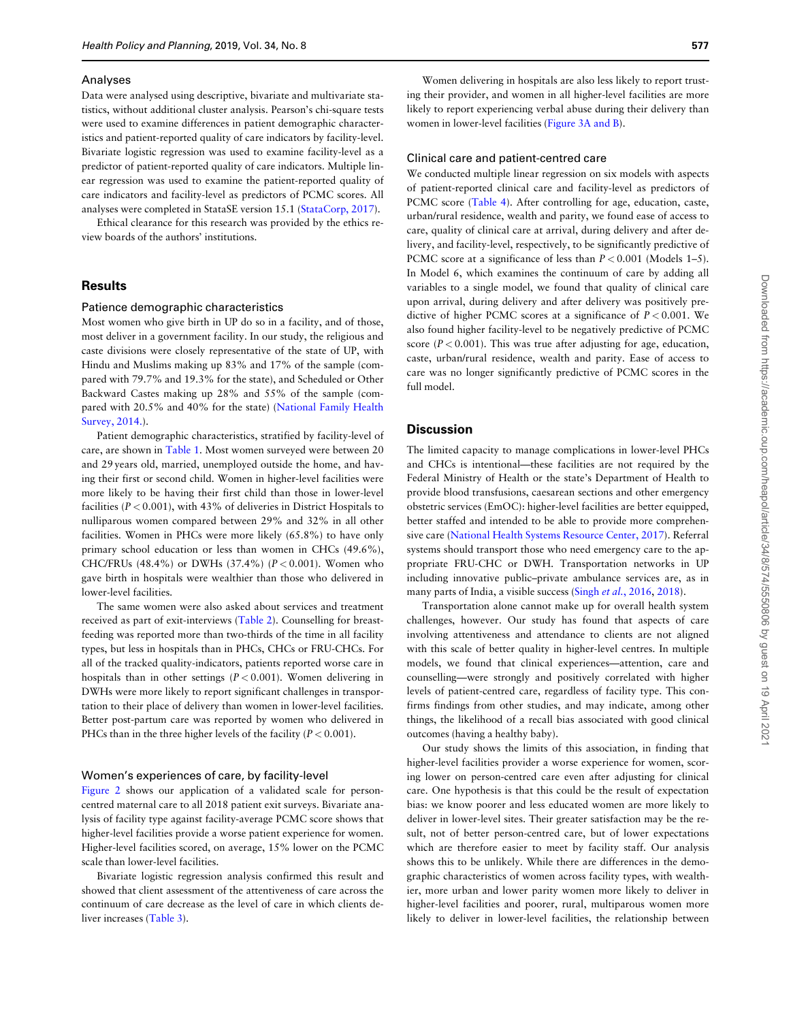#### Analyses

Data were analysed using descriptive, bivariate and multivariate statistics, without additional cluster analysis. Pearson's chi-square tests were used to examine differences in patient demographic characteristics and patient-reported quality of care indicators by facility-level. Bivariate logistic regression was used to examine facility-level as a predictor of patient-reported quality of care indicators. Multiple linear regression was used to examine the patient-reported quality of care indicators and facility-level as predictors of PCMC scores. All analyses were completed in StataSE version 15.1 [\(StataCorp, 2017\)](#page-7-0).

Ethical clearance for this research was provided by the ethics review boards of the authors' institutions.

## **Results**

## Patience demographic characteristics

Most women who give birth in UP do so in a facility, and of those, most deliver in a government facility. In our study, the religious and caste divisions were closely representative of the state of UP, with Hindu and Muslims making up 83% and 17% of the sample (compared with 79.7% and 19.3% for the state), and Scheduled or Other Backward Castes making up 28% and 55% of the sample (compared with 20.5% and 40% for the state) [\(National Family Health](#page-7-0) [Survey, 2014.](#page-7-0)).

Patient demographic characteristics, stratified by facility-level of care, are shown in [Table 1](#page-4-0). Most women surveyed were between 20 and 29 years old, married, unemployed outside the home, and having their first or second child. Women in higher-level facilities were more likely to be having their first child than those in lower-level facilities ( $P < 0.001$ ), with 43% of deliveries in District Hospitals to nulliparous women compared between 29% and 32% in all other facilities. Women in PHCs were more likely (65.8%) to have only primary school education or less than women in CHCs (49.6%), CHC/FRUs (48.4%) or DWHs (37.4%) ( $P < 0.001$ ). Women who gave birth in hospitals were wealthier than those who delivered in lower-level facilities.

The same women were also asked about services and treatment received as part of exit-interviews ([Table 2\)](#page-5-0). Counselling for breastfeeding was reported more than two-thirds of the time in all facility types, but less in hospitals than in PHCs, CHCs or FRU-CHCs. For all of the tracked quality-indicators, patients reported worse care in hospitals than in other settings  $(P < 0.001)$ . Women delivering in DWHs were more likely to report significant challenges in transportation to their place of delivery than women in lower-level facilities. Better post-partum care was reported by women who delivered in PHCs than in the three higher levels of the facility ( $P < 0.001$ ).

## Women's experiences of care, by facility-level

[Figure 2](#page-5-0) shows our application of a validated scale for personcentred maternal care to all 2018 patient exit surveys. Bivariate analysis of facility type against facility-average PCMC score shows that higher-level facilities provide a worse patient experience for women. Higher-level facilities scored, on average, 15% lower on the PCMC scale than lower-level facilities.

Bivariate logistic regression analysis confirmed this result and showed that client assessment of the attentiveness of care across the continuum of care decrease as the level of care in which clients deliver increases [\(Table 3](#page-5-0)).

Women delivering in hospitals are also less likely to report trusting their provider, and women in all higher-level facilities are more likely to report experiencing verbal abuse during their delivery than women in lower-level facilities [\(Figure 3A and B\)](#page-6-0).

#### Clinical care and patient-centred care

We conducted multiple linear regression on six models with aspects of patient-reported clinical care and facility-level as predictors of PCMC score [\(Table 4](#page-6-0)). After controlling for age, education, caste, urban/rural residence, wealth and parity, we found ease of access to care, quality of clinical care at arrival, during delivery and after delivery, and facility-level, respectively, to be significantly predictive of PCMC score at a significance of less than  $P < 0.001$  (Models 1–5). In Model 6, which examines the continuum of care by adding all variables to a single model, we found that quality of clinical care upon arrival, during delivery and after delivery was positively predictive of higher PCMC scores at a significance of  $P < 0.001$ . We also found higher facility-level to be negatively predictive of PCMC score ( $P < 0.001$ ). This was true after adjusting for age, education, caste, urban/rural residence, wealth and parity. Ease of access to care was no longer significantly predictive of PCMC scores in the full model.

# **Discussion**

The limited capacity to manage complications in lower-level PHCs and CHCs is intentional—these facilities are not required by the Federal Ministry of Health or the state's Department of Health to provide blood transfusions, caesarean sections and other emergency obstetric services (EmOC): higher-level facilities are better equipped, better staffed and intended to be able to provide more comprehensive care ([National Health Systems Resource Center, 2017](#page-7-0)). Referral systems should transport those who need emergency care to the appropriate FRU-CHC or DWH. Transportation networks in UP including innovative public–private ambulance services are, as in many parts of India, a visible success (Singh et al.[, 2016,](#page-7-0) [2018\)](#page-7-0).

Transportation alone cannot make up for overall health system challenges, however. Our study has found that aspects of care involving attentiveness and attendance to clients are not aligned with this scale of better quality in higher-level centres. In multiple models, we found that clinical experiences—attention, care and counselling—were strongly and positively correlated with higher levels of patient-centred care, regardless of facility type. This confirms findings from other studies, and may indicate, among other things, the likelihood of a recall bias associated with good clinical outcomes (having a healthy baby).

Our study shows the limits of this association, in finding that higher-level facilities provider a worse experience for women, scoring lower on person-centred care even after adjusting for clinical care. One hypothesis is that this could be the result of expectation bias: we know poorer and less educated women are more likely to deliver in lower-level sites. Their greater satisfaction may be the result, not of better person-centred care, but of lower expectations which are therefore easier to meet by facility staff. Our analysis shows this to be unlikely. While there are differences in the demographic characteristics of women across facility types, with wealthier, more urban and lower parity women more likely to deliver in higher-level facilities and poorer, rural, multiparous women more likely to deliver in lower-level facilities, the relationship between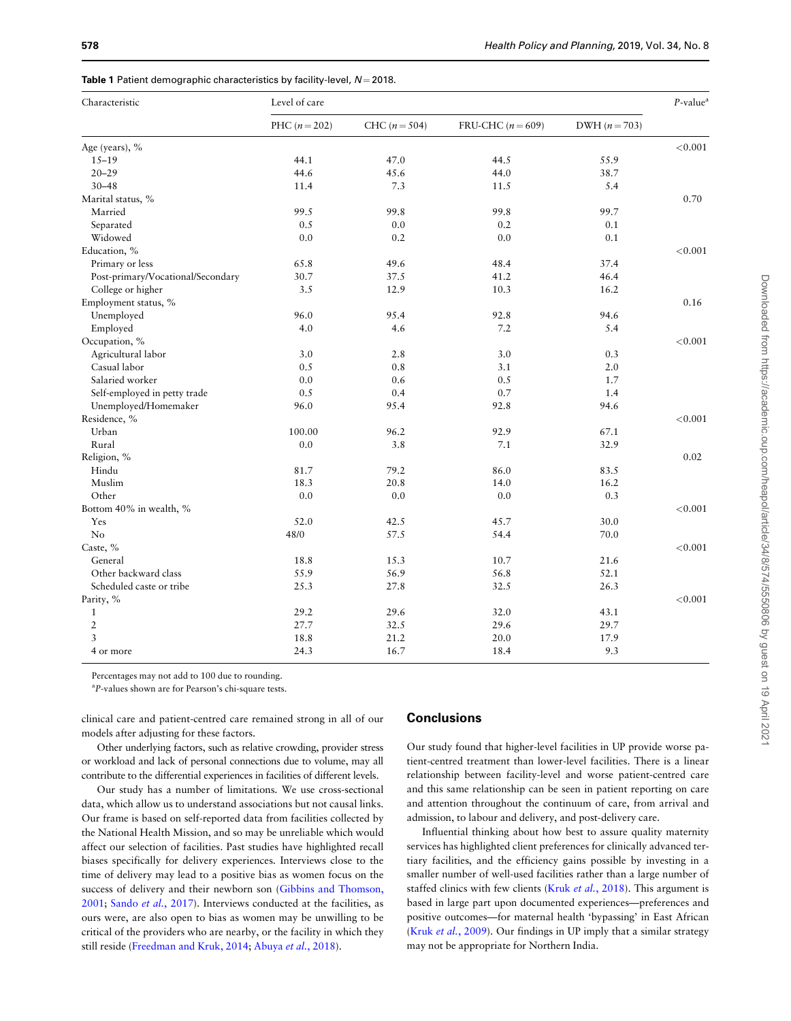<span id="page-4-0"></span>

|  |  |  | Table 1 Patient demographic characteristics by facility-level, $N = 2018$ . |  |  |  |
|--|--|--|-----------------------------------------------------------------------------|--|--|--|
|--|--|--|-----------------------------------------------------------------------------|--|--|--|

| Characteristic                    | Level of care   |                 |                   |                 |         |
|-----------------------------------|-----------------|-----------------|-------------------|-----------------|---------|
|                                   | PHC $(n = 202)$ | CHC $(n = 504)$ | FRU-CHC $(n=609)$ | DWH $(n = 703)$ |         |
| Age (years), %                    |                 |                 |                   |                 | < 0.001 |
| $15 - 19$                         | 44.1            | 47.0            | 44.5              | 55.9            |         |
| $20 - 29$                         | 44.6            | 45.6            | 44.0              | 38.7            |         |
| $30 - 48$                         | 11.4            | 7.3             | 11.5              | 5.4             |         |
| Marital status, %                 |                 |                 |                   |                 | 0.70    |
| Married                           | 99.5            | 99.8            | 99.8              | 99.7            |         |
| Separated                         | 0.5             | 0.0             | 0.2               | 0.1             |         |
| Widowed                           | 0.0             | 0.2             | 0.0               | 0.1             |         |
| Education, %                      |                 |                 |                   |                 | < 0.001 |
| Primary or less                   | 65.8            | 49.6            | 48.4              | 37.4            |         |
| Post-primary/Vocational/Secondary | 30.7            | 37.5            | 41.2              | 46.4            |         |
| College or higher                 | 3.5             | 12.9            | 10.3              | 16.2            |         |
| Employment status, %              |                 |                 |                   |                 | 0.16    |
| Unemployed                        | 96.0            | 95.4            | 92.8              | 94.6            |         |
| Employed                          | 4.0             | 4.6             | 7.2               | 5.4             |         |
| Occupation, %                     |                 |                 |                   |                 | < 0.001 |
| Agricultural labor                | 3.0             | 2.8             | 3.0               | 0.3             |         |
| Casual labor                      | 0.5             | 0.8             | 3.1               | $2.0\,$         |         |
| Salaried worker                   | 0.0             | 0.6             | 0.5               | 1.7             |         |
| Self-employed in petty trade      | 0.5             | 0.4             | 0.7               | 1.4             |         |
| Unemployed/Homemaker              | 96.0            | 95.4            | 92.8              | 94.6            |         |
| Residence, %                      |                 |                 |                   |                 | < 0.001 |
| Urban                             | 100.00          | 96.2            | 92.9              | 67.1            |         |
| Rural                             | 0.0             | 3.8             | 7.1               | 32.9            |         |
| Religion, %                       |                 |                 |                   |                 | 0.02    |
| Hindu                             | 81.7            | 79.2            | 86.0              | 83.5            |         |
| Muslim                            | 18.3            | 20.8            | 14.0              | 16.2            |         |
| Other                             | 0.0             | 0.0             | 0.0               | 0.3             |         |
| Bottom 40% in wealth, %           |                 |                 |                   |                 | < 0.001 |
| Yes                               | 52.0            | 42.5            | 45.7              | 30.0            |         |
| N <sub>o</sub>                    | 48/0            | 57.5            | 54.4              | 70.0            |         |
| Caste, %                          |                 |                 |                   |                 | < 0.001 |
| General                           | 18.8            | 15.3            | 10.7              | 21.6            |         |
| Other backward class              | 55.9            | 56.9            | 56.8              | 52.1            |         |
| Scheduled caste or tribe          | 25.3            | 27.8            | 32.5              | 26.3            |         |
| Parity, %                         |                 |                 |                   |                 | < 0.001 |
| $\mathbf{1}$                      | 29.2            | 29.6            | 32.0              | 43.1            |         |
| $\overline{2}$                    | 27.7            | 32.5            | 29.6              | 29.7            |         |
| $\overline{3}$                    | 18.8            | 21.2            | 20.0              | 17.9            |         |
| 4 or more                         | 24.3            | 16.7            | 18.4              | 9.3             |         |

Percentages may not add to 100 due to rounding.

<sup>a</sup>P-values shown are for Pearson's chi-square tests.

clinical care and patient-centred care remained strong in all of our models after adjusting for these factors.

Other underlying factors, such as relative crowding, provider stress or workload and lack of personal connections due to volume, may all contribute to the differential experiences in facilities of different levels.

Our study has a number of limitations. We use cross-sectional data, which allow us to understand associations but not causal links. Our frame is based on self-reported data from facilities collected by the National Health Mission, and so may be unreliable which would affect our selection of facilities. Past studies have highlighted recall biases specifically for delivery experiences. Interviews close to the time of delivery may lead to a positive bias as women focus on the success of delivery and their newborn son [\(Gibbins and Thomson,](#page-6-0) [2001;](#page-6-0) Sando et al.[, 2017\)](#page-7-0). Interviews conducted at the facilities, as ours were, are also open to bias as women may be unwilling to be critical of the providers who are nearby, or the facility in which they still reside [\(Freedman and Kruk, 2014;](#page-6-0) [Abuya](#page-6-0) et al., 2018).

# **Conclusions**

Our study found that higher-level facilities in UP provide worse patient-centred treatment than lower-level facilities. There is a linear relationship between facility-level and worse patient-centred care and this same relationship can be seen in patient reporting on care and attention throughout the continuum of care, from arrival and admission, to labour and delivery, and post-delivery care.

Influential thinking about how best to assure quality maternity services has highlighted client preferences for clinically advanced tertiary facilities, and the efficiency gains possible by investing in a smaller number of well-used facilities rather than a large number of staffed clinics with few clients (Kruk et al.[, 2018\)](#page-6-0). This argument is based in large part upon documented experiences—preferences and positive outcomes—for maternal health 'bypassing' in East African (Kruk et al.[, 2009](#page-6-0)). Our findings in UP imply that a similar strategy may not be appropriate for Northern India.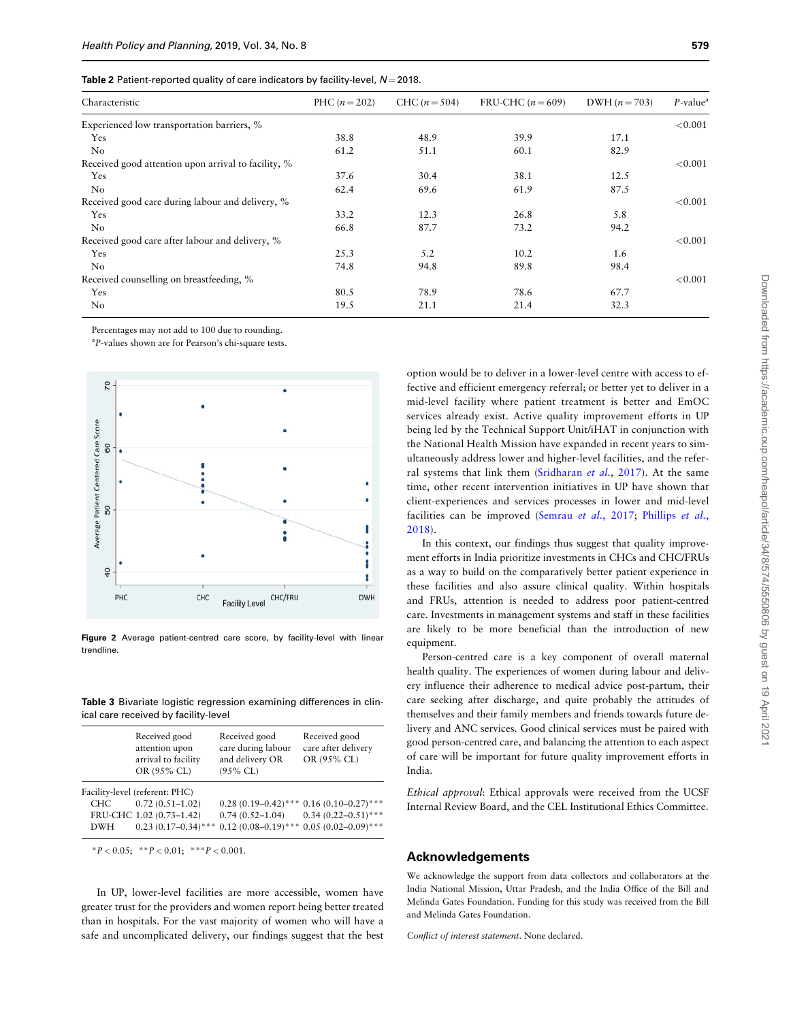<span id="page-5-0"></span>

| Table 2 Patient-reported quality of care indicators by facility-level, $N = 2018$ . |  |  |
|-------------------------------------------------------------------------------------|--|--|
|-------------------------------------------------------------------------------------|--|--|

| Characteristic                                      | PHC $(n = 202)$ | CHC $(n = 504)$ | FRU-CHC $(n=609)$ | DWH $(n = 703)$ | $P$ -value <sup>a</sup> |
|-----------------------------------------------------|-----------------|-----------------|-------------------|-----------------|-------------------------|
| Experienced low transportation barriers, %          |                 |                 |                   |                 | < 0.001                 |
| Yes                                                 | 38.8            | 48.9            | 39.9              | 17.1            |                         |
| N <sub>o</sub>                                      | 61.2            | 51.1            | 60.1              | 82.9            |                         |
| Received good attention upon arrival to facility, % |                 |                 |                   |                 | < 0.001                 |
| Yes                                                 | 37.6            | 30.4            | 38.1              | 12.5            |                         |
| No                                                  | 62.4            | 69.6            | 61.9              | 87.5            |                         |
| Received good care during labour and delivery, %    |                 |                 |                   |                 | < 0.001                 |
| Yes                                                 | 33.2            | 12.3            | 26.8              | 5.8             |                         |
| No                                                  | 66.8            | 87.7            | 73.2              | 94.2            |                         |
| Received good care after labour and delivery, %     |                 |                 |                   |                 | < 0.001                 |
| Yes                                                 | 25.3            | 5.2             | 10.2              | 1.6             |                         |
| No                                                  | 74.8            | 94.8            | 89.8              | 98.4            |                         |
| Received counselling on breastfeeding, %            |                 |                 |                   |                 | < 0.001                 |
| Yes                                                 | 80.5            | 78.9            | 78.6              | 67.7            |                         |
| No                                                  | 19.5            | 21.1            | 21.4              | 32.3            |                         |

Percentages may not add to 100 due to rounding.

<sup>a</sup>P-values shown are for Pearson's chi-square tests.



Figure 2 Average patient-centred care score, by facility-level with linear trendline.

Table 3 Bivariate logistic regression examining differences in clinical care received by facility-level

|            | Received good<br>attention upon<br>arrival to facility<br>OR (95% CL) | Received good<br>care during labour<br>and delivery OR<br>$(95\%$ CL) | Received good<br>care after delivery<br>OR (95% CL) |
|------------|-----------------------------------------------------------------------|-----------------------------------------------------------------------|-----------------------------------------------------|
|            | Facility-level (referent: PHC)                                        |                                                                       |                                                     |
| CHC        | $0.72(0.51 - 1.02)$                                                   |                                                                       | $0.28(0.19-0.42)$ *** $0.16(0.10-0.27)$ ***         |
|            | FRU-CHC 1.02 (0.73-1.42)                                              | $0.74(0.52 - 1.04)$                                                   | $0.34(0.22 - 0.51)$ ***                             |
| <b>DWH</b> | $0.23(0.17-0.34)$ ***                                                 |                                                                       | $0.12(0.08-0.19)$ *** $0.05(0.02-0.09)$ ***         |

\*P < 0.05; \*\*P < 0.01; \*\*\*P < 0.001.

In UP, lower-level facilities are more accessible, women have greater trust for the providers and women report being better treated than in hospitals. For the vast majority of women who will have a safe and uncomplicated delivery, our findings suggest that the best option would be to deliver in a lower-level centre with access to effective and efficient emergency referral; or better yet to deliver in a mid-level facility where patient treatment is better and EmOC services already exist. Active quality improvement efforts in UP being led by the Technical Support Unit/iHAT in conjunction with the National Health Mission have expanded in recent years to simultaneously address lower and higher-level facilities, and the refer-ral systems that link them ([Sridharan](#page-7-0) et al., 2017). At the same time, other recent intervention initiatives in UP have shown that client-experiences and services processes in lower and mid-level facilities can be improved [\(Semrau](#page-7-0) et al., 2017; [Phillips](#page-7-0) et al., [2018](#page-7-0)).

In this context, our findings thus suggest that quality improvement efforts in India prioritize investments in CHCs and CHC/FRUs as a way to build on the comparatively better patient experience in these facilities and also assure clinical quality. Within hospitals and FRUs, attention is needed to address poor patient-centred care. Investments in management systems and staff in these facilities are likely to be more beneficial than the introduction of new equipment.

Person-centred care is a key component of overall maternal health quality. The experiences of women during labour and delivery influence their adherence to medical advice post-partum, their care seeking after discharge, and quite probably the attitudes of themselves and their family members and friends towards future delivery and ANC services. Good clinical services must be paired with good person-centred care, and balancing the attention to each aspect of care will be important for future quality improvement efforts in India.

Ethical approval: Ethical approvals were received from the UCSF Internal Review Board, and the CEL Institutional Ethics Committee.

# Acknowledgements

We acknowledge the support from data collectors and collaborators at the India National Mission, Uttar Pradesh, and the India Office of the Bill and Melinda Gates Foundation. Funding for this study was received from the Bill and Melinda Gates Foundation.

Conflict of interest statement. None declared.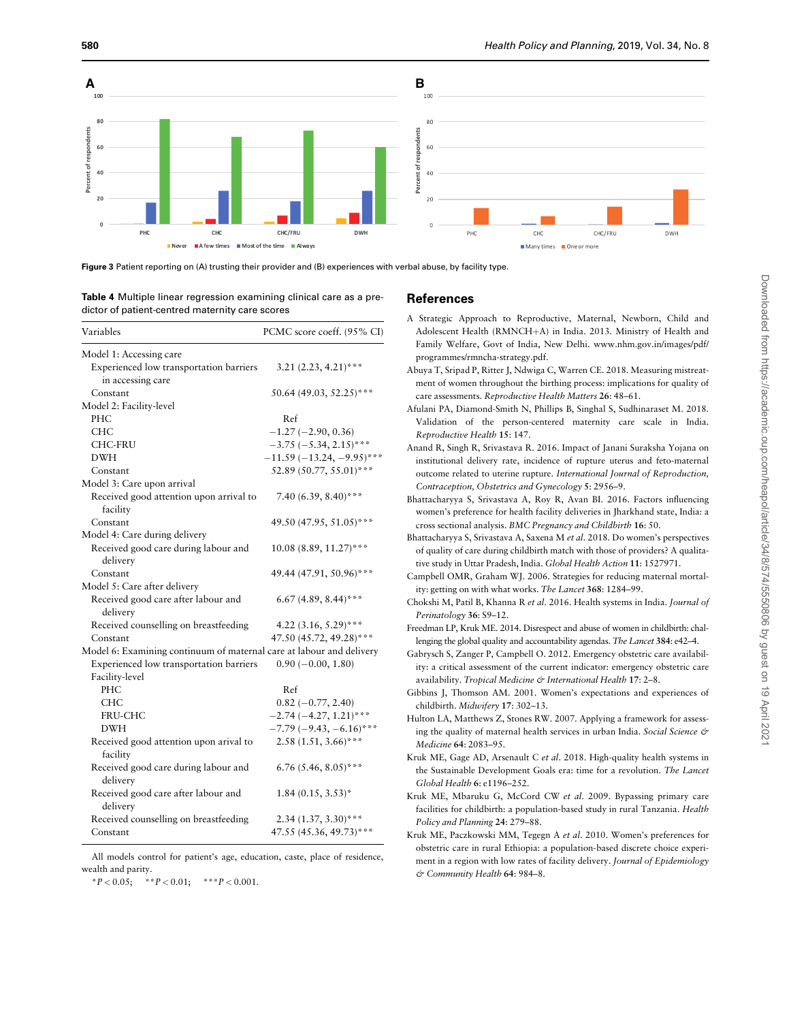<span id="page-6-0"></span>

Figure 3 Patient reporting on (A) trusting their provider and (B) experiences with verbal abuse, by facility type.

Table 4 Multiple linear regression examining clinical care as a predictor of patient-centred maternity care scores

| Variables                                                            | PCMC score coeff. (95% CI)   |
|----------------------------------------------------------------------|------------------------------|
| Model 1: Accessing care                                              |                              |
| Experienced low transportation barriers<br>in accessing care         | $3.21 (2.23, 4.21)$ ***      |
| Constant                                                             | 50.64 (49.03, 52.25)***      |
| Model 2: Facility-level                                              |                              |
| PHC                                                                  | Ref                          |
| <b>CHC</b>                                                           | $-1.27(-2.90, 0.36)$         |
| <b>CHC-FRU</b>                                                       | $-3.75$ ( $-5.34$ , 2.15)*** |
| <b>DWH</b>                                                           | $-11.59(-13.24, -9.95)$ ***  |
| Constant                                                             | 52.89 (50.77, 55.01)***      |
| Model 3: Care upon arrival                                           |                              |
| Received good attention upon arrival to<br>facility                  | 7.40 (6.39, 8.40)***         |
| Constant                                                             | 49.50 (47.95, 51.05)***      |
| Model 4: Care during delivery                                        |                              |
| Received good care during labour and                                 | $10.08(8.89, 11.27)$ ***     |
| delivery                                                             |                              |
| Constant                                                             | 49.44 (47.91, 50.96)***      |
| Model 5: Care after delivery                                         |                              |
| Received good care after labour and                                  | 6.67 (4.89, 8.44)***         |
| delivery                                                             |                              |
| Received counselling on breastfeeding                                | 4.22 $(3.16, 5.29)$ ***      |
| Constant                                                             | 47.50 (45.72, 49.28)***      |
| Model 6: Examining continuum of maternal care at labour and delivery |                              |
| Experienced low transportation barriers                              | $0.90 (-0.00, 1.80)$         |
| Facility-level                                                       |                              |
| PHC                                                                  | Ref                          |
| <b>CHC</b>                                                           | $0.82 (-0.77, 2.40)$         |
| <b>FRU-CHC</b>                                                       | $-2.74(-4.27, 1.21)$ ***     |
| DWH                                                                  | $-7.79(-9.43, -6.16)$ ***    |
| Received good attention upon arival to                               | $2.58(1.51, 3.66)$ ***       |
| facility                                                             |                              |
| Received good care during labour and<br>delivery                     | 6.76 (5.46, 8.05)***         |
| Received good care after labour and<br>delivery                      | $1.84(0.15, 3.53)^*$         |
| Received counselling on breastfeeding                                | $2.34(1.37, 3.30)***$        |
| Constant                                                             | 47.55 (45.36, 49.73)***      |

All models control for patient's age, education, caste, place of residence, wealth and parity.

\*P < 0.05; \*\*P < 0.01; \*\*\*P < 0.001.

## References

- A Strategic Approach to Reproductive, Maternal, Newborn, Child and Adolescent Health (RMNCH+A) in India. 2013. Ministry of Health and Family Welfare, Govt of India, New Delhi. [www.nhm.gov.in/images/pdf/](http://www.nhm.gov.in/images/pdf/programmes/rmncha-strategy.pdf) [programmes/rmncha-strategy.pdf.](http://www.nhm.gov.in/images/pdf/programmes/rmncha-strategy.pdf)
- Abuya T, Sripad P, Ritter J, Ndwiga C, Warren CE. 2018. Measuring mistreatment of women throughout the birthing process: implications for quality of care assessments. Reproductive Health Matters 26: 48–61.
- Afulani PA, Diamond-Smith N, Phillips B, Singhal S, Sudhinaraset M. 2018. Validation of the person-centered maternity care scale in India. Reproductive Health 15: 147.
- Anand R, Singh R, Srivastava R. 2016. Impact of Janani Suraksha Yojana on institutional delivery rate, incidence of rupture uterus and feto-maternal outcome related to uterine rupture. International Journal of Reproduction, Contraception, Obstetrics and Gynecology 5: 2956–9.
- Bhattacharyya S, Srivastava A, Roy R, Avan BI. 2016. Factors influencing women's preference for health facility deliveries in Jharkhand state, India: a cross sectional analysis. BMC Pregnancy and Childbirth 16: 50.
- Bhattacharyya S, Srivastava A, Saxena M et al. 2018. Do women's perspectives of quality of care during childbirth match with those of providers? A qualitative study in Uttar Pradesh, India. Global Health Action 11: 1527971.
- Campbell OMR, Graham WJ. 2006. Strategies for reducing maternal mortality: getting on with what works. The Lancet 368: 1284–99.
- Chokshi M, Patil B, Khanna R et al. 2016. Health systems in India. Journal of Perinatology 36: S9–12.
- Freedman LP, Kruk ME. 2014. Disrespect and abuse of women in childbirth: challenging the global quality and accountability agendas. The Lancet 384: e42–4.
- Gabrysch S, Zanger P, Campbell O. 2012. Emergency obstetric care availability: a critical assessment of the current indicator: emergency obstetric care availability. Tropical Medicine & International Health 17: 2-8.
- Gibbins J, Thomson AM. 2001. Women's expectations and experiences of childbirth. Midwifery 17: 302–13.
- Hulton LA, Matthews Z, Stones RW. 2007. Applying a framework for assessing the quality of maternal health services in urban India. Social Science & Medicine 64: 2083–95.
- Kruk ME, Gage AD, Arsenault C et al. 2018. High-quality health systems in the Sustainable Development Goals era: time for a revolution. The Lancet Global Health 6: e1196–252.
- Kruk ME, Mbaruku G, McCord CW et al. 2009. Bypassing primary care facilities for childbirth: a population-based study in rural Tanzania. Health Policy and Planning 24: 279–88.
- Kruk ME, Paczkowski MM, Tegegn A et al. 2010. Women's preferences for obstetric care in rural Ethiopia: a population-based discrete choice experiment in a region with low rates of facility delivery. Journal of Epidemiology & Community Health 64: 984–8.